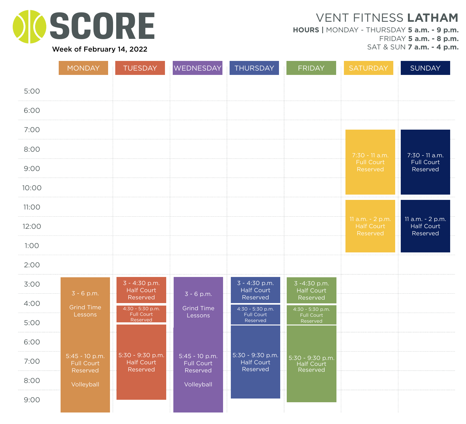

**HOURS |** MONDAY - THURSDAY **5 a.m. - 9 p.m.** FRIDAY **5 a.m. - 8 p.m.**

SAT & SUN **7 a.m. - 4 p.m.**

|              | <b>MONDAY</b>                | TUESDAY                                        | WEDNESDAY                    | <b>THURSDAY</b>                                | <b>FRIDAY</b>                                | <b>SATURDAY</b>               | <b>SUNDAY</b>                 |
|--------------|------------------------------|------------------------------------------------|------------------------------|------------------------------------------------|----------------------------------------------|-------------------------------|-------------------------------|
| 5:00         |                              |                                                |                              |                                                |                                              |                               |                               |
| 6:00         |                              |                                                |                              |                                                |                                              |                               |                               |
| 7:00         |                              |                                                |                              |                                                |                                              |                               |                               |
| 8:00         |                              |                                                |                              |                                                |                                              | 7:30 - 11 a.m.                | 7:30 - 11 a.m.                |
| 9:00         |                              |                                                |                              |                                                |                                              | <b>Full Court</b><br>Reserved | Full Court<br>Reserved        |
| 10:00        |                              |                                                |                              |                                                |                                              |                               |                               |
| <b>11:00</b> |                              |                                                |                              |                                                |                                              | 11 a.m. - 2 p.m.              | 11 a.m. - 2 p.m.              |
| 12:00        |                              |                                                |                              |                                                |                                              | <b>Half Court</b><br>Reserved | <b>Half Court</b><br>Reserved |
| 1:00         |                              |                                                |                              |                                                |                                              |                               |                               |
| 2:00         |                              |                                                |                              |                                                |                                              |                               |                               |
| 3:00         | $3 - 6 p.m.$                 | 3 - 4:30 p.m.<br><b>Half Court</b><br>Reserved | $3 - 6 p.m.$                 | 3 - 4:30 p.m.<br><b>Half Court</b><br>Reserved | 3-4:30 p.m.<br><b>Half Court</b><br>Reserved |                               |                               |
| 4:00         | <b>Grind Time</b><br>Lessons | 4:30 - 5:30 p.m.<br>Full Court                 | <b>Grind Time</b><br>Lessons | 4:30 - 5:30 p.m.<br><b>Full Court</b>          | 4:30 - 5:30 p.m.<br>Full Court               |                               |                               |
| 5:00         |                              | Reserved                                       |                              | Reserved                                       | Reserved                                     |                               |                               |
| 6:00         | 5:45 - 10 p.m.               | 5:30 - 9:30 p.m.                               | 5:45 - 10 p.m.               | 5:30 - 9:30 p.m.                               |                                              |                               |                               |
| 7:00         | Full Court<br>Reserved       | <b>Half Court</b><br>Reserved                  | Full Court<br>Reserved       | Half Court<br>Reserved                         | 5:30 - 9:30 p.m.<br>Half Court<br>Reserved   |                               |                               |
| 8:00         | Volleyball                   |                                                | Volleyball                   |                                                |                                              |                               |                               |
| 9:00         |                              |                                                |                              |                                                |                                              |                               |                               |